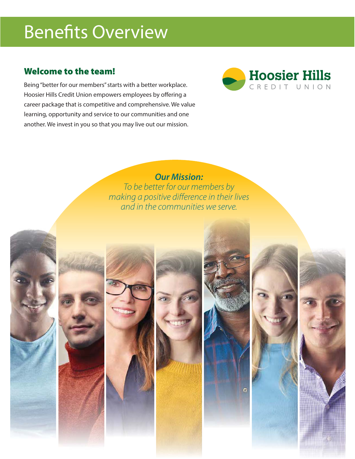# Benefits Overview

# **Welcome to the team!**

Being "better for our members" starts with a better workplace. Hoosier Hills Credit Union empowers employees by offering a career package that is competitive and comprehensive. We value learning, opportunity and service to our communities and one another. We invest in you so that you may live out our mission.



**Our Mission:**

To be better for our members by making a positive difference in their lives and in the communities we serve.











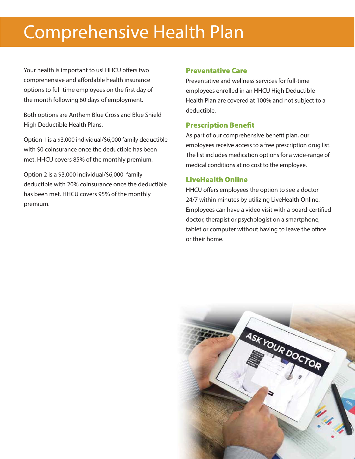# Comprehensive Health Plan

Your health is important to us! HHCU offers two comprehensive and affordable health insurance options to full-time employees on the first day of the month following 60 days of employment.

Both options are Anthem Blue Cross and Blue Shield High Deductible Health Plans.

Option 1 is a \$3,000 individual/\$6,000 family deductible with \$0 coinsurance once the deductible has been met. HHCU covers 85% of the monthly premium.

Option 2 is a \$3,000 individual/\$6,000 family deductible with 20% coinsurance once the deductible has been met. HHCU covers 95% of the monthly premium.

#### **Preventative Care**

Preventative and wellness services for full-time employees enrolled in an HHCU High Deductible Health Plan are covered at 100% and not subject to a deductible.

## **Prescription Benefit**

As part of our comprehensive benefit plan, our employees receive access to a free prescription drug list. The list includes medication options for a wide-range of medical conditions at no cost to the employee.

## **LiveHealth Online**

HHCU offers employees the option to see a doctor 24/7 within minutes by utilizing LiveHealth Online. Employees can have a video visit with a board-certified doctor, therapist or psychologist on a smartphone, tablet or computer without having to leave the office or their home.

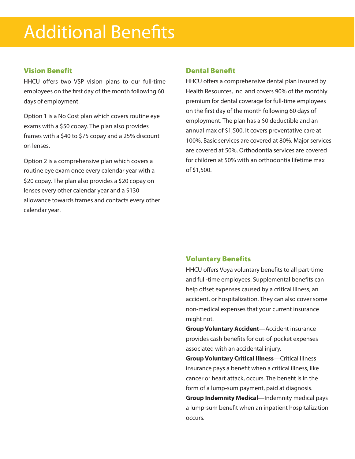## **Vision Benefit**

HHCU offers two VSP vision plans to our full-time employees on the first day of the month following 60 days of employment.

Option 1 is a No Cost plan which covers routine eye exams with a \$50 copay. The plan also provides frames with a \$40 to \$75 copay and a 25% discount on lenses.

Option 2 is a comprehensive plan which covers a routine eye exam once every calendar year with a \$20 copay. The plan also provides a \$20 copay on lenses every other calendar year and a \$130 allowance towards frames and contacts every other calendar year.

### **Dental Benefit**

HHCU offers a comprehensive dental plan insured by Health Resources, Inc. and covers 90% of the monthly premium for dental coverage for full-time employees on the first day of the month following 60 days of employment. The plan has a \$0 deductible and an annual max of \$1,500. It covers preventative care at 100%. Basic services are covered at 80%. Major services are covered at 50%. Orthodontia services are covered for children at 50% with an orthodontia lifetime max of \$1,500.

### **Voluntary Benefits**

HHCU offers Voya voluntary benefits to all part-time and full-time employees. Supplemental benefits can help offset expenses caused by a critical illness, an accident, or hospitalization. They can also cover some non-medical expenses that your current insurance might not.

**Group Voluntary Accident**—Accident insurance provides cash benefits for out-of-pocket expenses associated with an accidental injury.

**Group Voluntary Critical Illness**—Critical Illness insurance pays a benefit when a critical illness, like cancer or heart attack, occurs. The benefit is in the form of a lump-sum payment, paid at diagnosis.

**Group Indemnity Medical**—Indemnity medical pays a lump-sum benefit when an inpatient hospitalization occurs.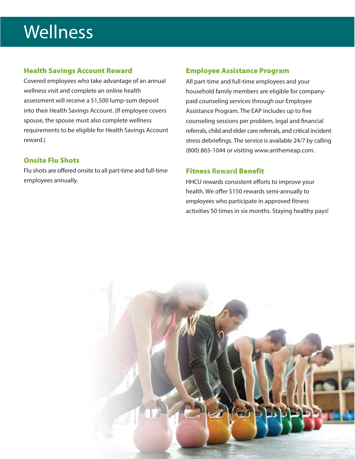# **Wellness**

## **Health Savings Account Reward**

Covered employees who take advantage of an annual wellness visit and complete an online health assessment will receive a \$1,500 lump-sum deposit into their Health Savings Account. (If employee covers spouse, the spouse must also complete wellness requirements to be eligible for Health Savings Account reward.)

## **Onsite Flu Shots**

Flu shots are offered onsite to all part-time and full-time employees annually.

### **Employee Assistance Program**

All part-time and full-time employees and your household family members are eligible for companypaid counseling services through our Employee Assistance Program. The EAP includes up to five counseling sessions per problem, legal and financial referrals, child and elder care referrals, and critical incident stress debriefings. The service is available 24/7 by calling (800) 865-1044 or visiting www.anthemeap.com.

### **Fitness Reward Benefit**

HHCU rewards consistent efforts to improve your health. We offer \$150 rewards semi-annually to employees who participate in approved fitness activities 50 times in six months. Staying healthy pays!

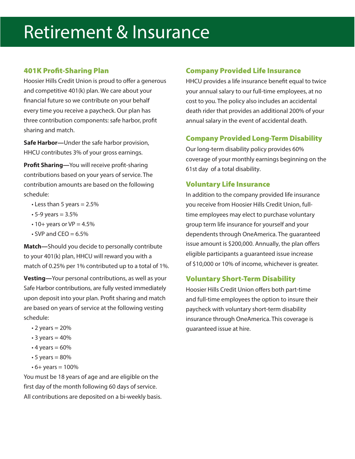# Retirement & Insurance

### **401K Profit-Sharing Plan**

Hoosier Hills Credit Union is proud to offer a generous and competitive 401(k) plan. We care about your financial future so we contribute on your behalf every time you receive a paycheck. Our plan has three contribution components: safe harbor, profit sharing and match.

**Safe Harbor—**Under the safe harbor provision, HHCU contributes 3% of your gross earnings.

**Profit Sharing—**You will receive profit-sharing contributions based on your years of service. The contribution amounts are based on the following schedule:

- $\cdot$  Less than 5 years = 2.5%
- $5 9$  years =  $3.5%$
- $\cdot$  10+ years or VP = 4.5%
- $\cdot$  SVP and CEO = 6.5%

**Match—**Should you decide to personally contribute to your 401(k) plan, HHCU will reward you with a match of 0.25% per 1% contributed up to a total of 1%.

**Vesting**—Your personal contributions, as well as your Safe Harbor contributions, are fully vested immediately upon deposit into your plan. Profit sharing and match are based on years of service at the following vesting schedule:

- $\cdot$  2 years = 20%
- $\cdot$  3 years = 40%
- $\cdot$  4 years = 60%
- $\cdot$  5 years = 80%
- $6 + years = 100%$

You must be 18 years of age and are eligible on the first day of the month following 60 days of service. All contributions are deposited on a bi-weekly basis.

#### **Company Provided Life Insurance**

HHCU provides a life insurance benefit equal to twice your annual salary to our full-time employees, at no cost to you. The policy also includes an accidental death rider that provides an additional 200% of your annual salary in the event of accidental death.

#### **Company Provided Long-Term Disability**

Our long-term disability policy provides 60% coverage of your monthly earnings beginning on the 61st day of a total disability.

#### **Voluntary Life Insurance**

In addition to the company provided life insurance you receive from Hoosier Hills Credit Union, fulltime employees may elect to purchase voluntary group term life insurance for yourself and your dependents through OneAmerica. The guaranteed issue amount is \$200,000. Annually, the plan offers eligible participants a guaranteed issue increase of \$10,000 or 10% of income, whichever is greater.

### **Voluntary Short-Term Disability**

Hoosier Hills Credit Union offers both part-time and full-time employees the option to insure their paycheck with voluntary short-term disability insurance through OneAmerica. This coverage is guaranteed issue at hire.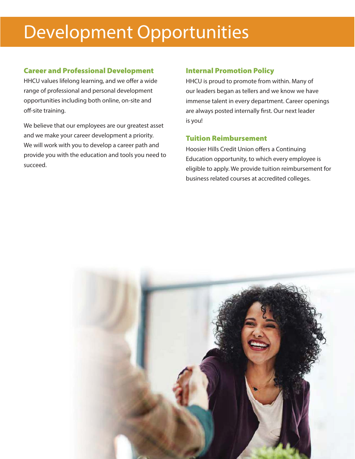# Development Opportunities

### **Career and Professional Development**

HHCU values lifelong learning, and we offer a wide range of professional and personal development opportunities including both online, on-site and off-site training.

We believe that our employees are our greatest asset and we make your career development a priority. We will work with you to develop a career path and provide you with the education and tools you need to succeed.

### **Internal Promotion Policy**

HHCU is proud to promote from within. Many of our leaders began as tellers and we know we have immense talent in every department. Career openings are always posted internally first. Our next leader is you!

## **Tuition Reimbursement**

Hoosier Hills Credit Union offers a Continuing Education opportunity, to which every employee is eligible to apply. We provide tuition reimbursement for business related courses at accredited colleges.

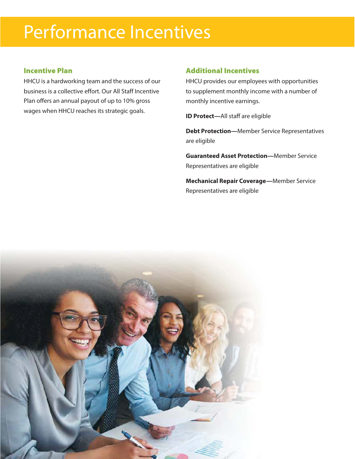# Performance Incentives

## **Incentive Plan**

HHCU is a hardworking team and the success of our business is a collective effort. Our All Staff Incentive Plan offers an annual payout of up to 10% gross wages when HHCU reaches its strategic goals.

### **Additional Incentives**

HHCU provides our employees with opportunities to supplement monthly income with a number of monthly incentive earnings.

**ID Protect—**All staff are eligible

**Debt Protection—**Member Service Representatives are eligible

**Guaranteed Asset Protection—**Member Service Representatives are eligible

**Mechanical Repair Coverage—**Member Service Representatives are eligible